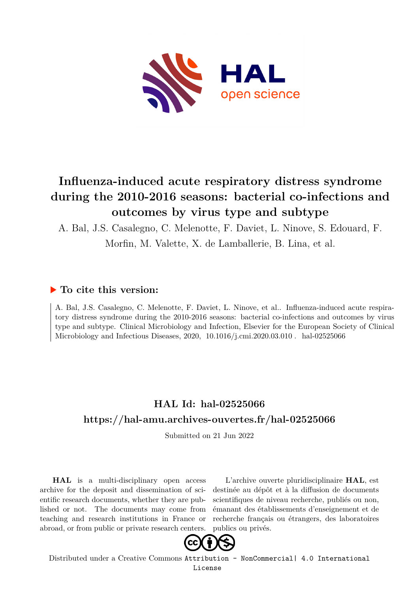

# **Influenza-induced acute respiratory distress syndrome during the 2010-2016 seasons: bacterial co-infections and outcomes by virus type and subtype**

A. Bal, J.S. Casalegno, C. Melenotte, F. Daviet, L. Ninove, S. Edouard, F.

Morfin, M. Valette, X. de Lamballerie, B. Lina, et al.

# **To cite this version:**

A. Bal, J.S. Casalegno, C. Melenotte, F. Daviet, L. Ninove, et al.. Influenza-induced acute respiratory distress syndrome during the 2010-2016 seasons: bacterial co-infections and outcomes by virus type and subtype. Clinical Microbiology and Infection, Elsevier for the European Society of Clinical Microbiology and Infectious Diseases,  $2020, 10.1016/j.cmi.2020.03.010$ . hal-02525066

# **HAL Id: hal-02525066 <https://hal-amu.archives-ouvertes.fr/hal-02525066>**

Submitted on 21 Jun 2022

**HAL** is a multi-disciplinary open access archive for the deposit and dissemination of scientific research documents, whether they are published or not. The documents may come from teaching and research institutions in France or abroad, or from public or private research centers.

L'archive ouverte pluridisciplinaire **HAL**, est destinée au dépôt et à la diffusion de documents scientifiques de niveau recherche, publiés ou non, émanant des établissements d'enseignement et de recherche français ou étrangers, des laboratoires publics ou privés.



Distributed under a Creative Commons [Attribution - NonCommercial| 4.0 International](http://creativecommons.org/licenses/by-nc/4.0/) [License](http://creativecommons.org/licenses/by-nc/4.0/)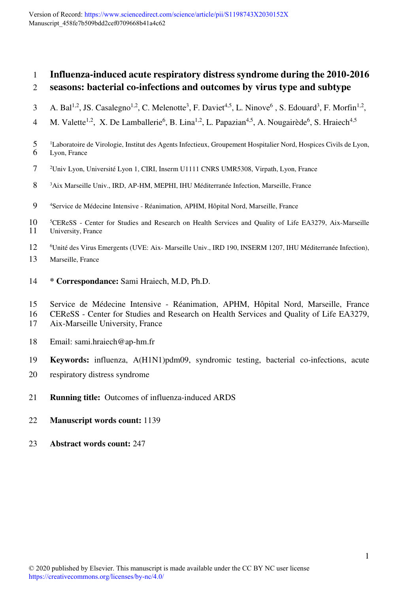# 1 **Influenza-induced acute respiratory distress syndrome during the 2010-2016**  2 **seasons: bacterial co-infections and outcomes by virus type and subtype**

- 3 A. Bal<sup>1,2</sup>, JS. Casalegno<sup>1,2</sup>, C. Melenotte<sup>3</sup>, F. Daviet<sup>4,5</sup>, L. Ninove<sup>6</sup>, S. Edouard<sup>3</sup>, F. Morfin<sup>1,2</sup>,
- 4 M. Valette<sup>1,2</sup>, X. De Lamballerie<sup>6</sup>, B. Lina<sup>1,2</sup>, L. Papazian<sup>4,5</sup>, A. Nougairède<sup>6</sup>, S. Hraiech<sup>4,5</sup>
- <sup>1</sup> Laboratoire de Virologie, Institut des Agents Infectieux, Groupement Hospitalier Nord, Hospices Civils de Lyon,<br>6 Lyon, France Lyon, France
- 7 <sup>2</sup>Univ Lyon, Université Lyon 1, CIRI, Inserm U1111 CNRS UMR5308, Virpath, Lyon, France
- 8 <sup>3</sup>Aix Marseille Univ., IRD, AP-HM, MEPHI, IHU Méditerranée Infection, Marseille, France
- 9 <sup>4</sup> Service de Médecine Intensive Réanimation, APHM, Hôpital Nord, Marseille, France
- <sup>5</sup> 10 <sup>5</sup> CEReSS Center for Studies and Research on Health Services and Quality of Life EA3279, Aix-Marseille University, France University, France
- 12 <sup>6</sup>Unité des Virus Emergents (UVE: Aix- Marseille Univ., IRD 190, INSERM 1207, IHU Méditerranée Infection),
- 13 Marseille, France
- 14 **\* Correspondance:** Sami Hraiech, M.D, Ph.D.
- 15 Service de Médecine Intensive Réanimation, APHM, Hôpital Nord, Marseille, France
- 16 CEReSS Center for Studies and Research on Health Services and Quality of Life EA3279,
- 17 Aix-Marseille University, France
- 18 Email: sami.hraiech@ap-hm.fr
- 19 **Keywords:** influenza, A(H1N1)pdm09, syndromic testing, bacterial co-infections, acute
- 20 respiratory distress syndrome
- 21 **Running title:** Outcomes of influenza-induced ARDS
- 22 **Manuscript words count:** 1139
- 23 **Abstract words count:** 247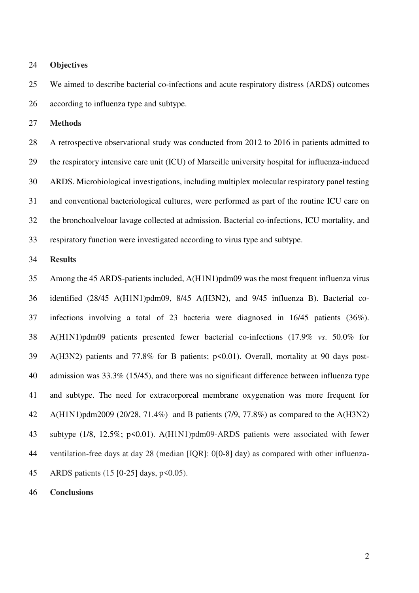24 **Objectives** 

25 We aimed to describe bacterial co-infections and acute respiratory distress (ARDS) outcomes 26 according to influenza type and subtype.

27 **Methods** 

28 A retrospective observational study was conducted from 2012 to 2016 in patients admitted to 29 the respiratory intensive care unit (ICU) of Marseille university hospital for influenza-induced 30 ARDS. Microbiological investigations, including multiplex molecular respiratory panel testing 31 and conventional bacteriological cultures, were performed as part of the routine ICU care on 32 the bronchoalveloar lavage collected at admission. Bacterial co-infections, ICU mortality, and 33 respiratory function were investigated according to virus type and subtype.

#### 34 **Results**

35 Among the 45 ARDS-patients included, A(H1N1)pdm09 was the most frequent influenza virus 36 identified (28/45 A(H1N1)pdm09, 8/45 A(H3N2), and 9/45 influenza B). Bacterial co-37 infections involving a total of 23 bacteria were diagnosed in 16/45 patients (36%). 38 A(H1N1)pdm09 patients presented fewer bacterial co-infections (17.9% *vs*. 50.0% for 39 A(H3N2) patients and 77.8% for B patients; p<0.01). Overall, mortality at 90 days post-40 admission was 33.3% (15/45), and there was no significant difference between influenza type 41 and subtype. The need for extracorporeal membrane oxygenation was more frequent for 42 A(H1N1)pdm2009 (20/28, 71.4%) and B patients (7/9, 77.8%) as compared to the A(H3N2) 43 subtype (1/8, 12.5%; p<0.01). A(H1N1)pdm09-ARDS patients were associated with fewer 44 ventilation-free days at day 28 (median [IQR]: 0[0-8] day) as compared with other influenza-45 ARDS patients (15 [0-25] days, p<0.05).

46 **Conclusions**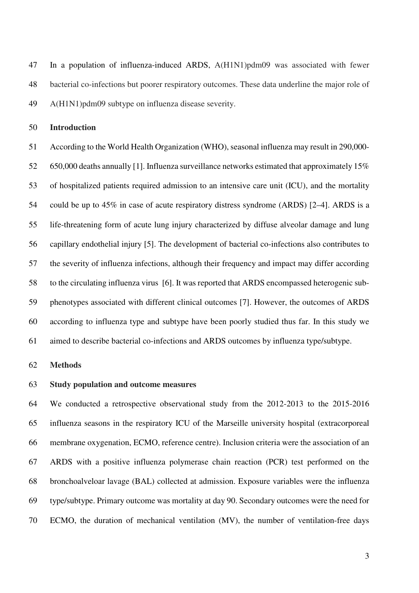47 In a population of influenza-induced ARDS, A(H1N1)pdm09 was associated with fewer 48 bacterial co-infections but poorer respiratory outcomes. These data underline the major role of 49 A(H1N1)pdm09 subtype on influenza disease severity.

50 **Introduction**

51 According to the World Health Organization (WHO), seasonal influenza may result in 290,000- 52 650,000 deaths annually [1]. Influenza surveillance networks estimated that approximately 15% 53 of hospitalized patients required admission to an intensive care unit (ICU), and the mortality 54 could be up to 45% in case of acute respiratory distress syndrome (ARDS) [2–4]. ARDS is a 55 life-threatening form of acute lung injury characterized by diffuse alveolar damage and lung 56 capillary endothelial injury [5]. The development of bacterial co-infections also contributes to 57 the severity of influenza infections, although their frequency and impact may differ according 58 to the circulating influenza virus [6]. It was reported that ARDS encompassed heterogenic sub-59 phenotypes associated with different clinical outcomes [7]. However, the outcomes of ARDS 60 according to influenza type and subtype have been poorly studied thus far. In this study we 61 aimed to describe bacterial co-infections and ARDS outcomes by influenza type/subtype.

#### 62 **Methods**

## 63 **Study population and outcome measures**

64 We conducted a retrospective observational study from the 2012-2013 to the 2015-2016 65 influenza seasons in the respiratory ICU of the Marseille university hospital (extracorporeal 66 membrane oxygenation, ECMO, reference centre). Inclusion criteria were the association of an 67 ARDS with a positive influenza polymerase chain reaction (PCR) test performed on the 68 bronchoalveloar lavage (BAL) collected at admission. Exposure variables were the influenza 69 type/subtype. Primary outcome was mortality at day 90. Secondary outcomes were the need for 70 ECMO, the duration of mechanical ventilation (MV), the number of ventilation-free days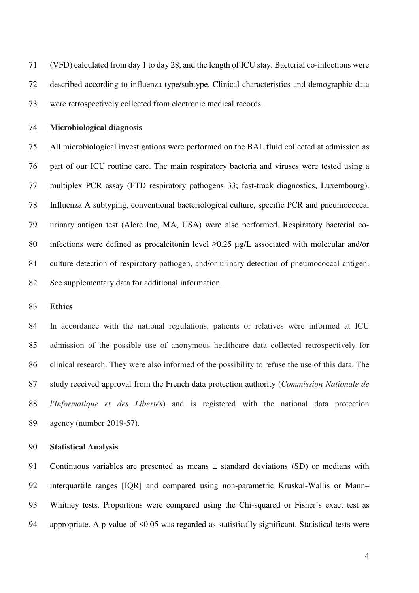71 (VFD) calculated from day 1 to day 28, and the length of ICU stay. Bacterial co-infections were 72 described according to influenza type/subtype. Clinical characteristics and demographic data 73 were retrospectively collected from electronic medical records.

## 74 **Microbiological diagnosis**

75 All microbiological investigations were performed on the BAL fluid collected at admission as 76 part of our ICU routine care. The main respiratory bacteria and viruses were tested using a 77 multiplex PCR assay (FTD respiratory pathogens 33; fast-track diagnostics, Luxembourg). 78 Influenza A subtyping, conventional bacteriological culture, specific PCR and pneumococcal 79 urinary antigen test (Alere Inc, MA, USA) were also performed. Respiratory bacterial co-80 infections were defined as procalcitonin level  $\geq 0.25$  µg/L associated with molecular and/or 81 culture detection of respiratory pathogen, and/or urinary detection of pneumococcal antigen. 82 See supplementary data for additional information.

#### 83 **Ethics**

84 In accordance with the national regulations, patients or relatives were informed at ICU 85 admission of the possible use of anonymous healthcare data collected retrospectively for 86 clinical research. They were also informed of the possibility to refuse the use of this data. The 87 study received approval from the French data protection authority (*Commission Nationale de*  88 *l'Informatique et des Libertés*) and is registered with the national data protection 89 agency (number 2019-57).

## 90 **Statistical Analysis**

91 Continuous variables are presented as means ± standard deviations (SD) or medians with 92 interquartile ranges [IQR] and compared using non-parametric Kruskal-Wallis or Mann– 93 Whitney tests. Proportions were compared using the Chi-squared or Fisher's exact test as 94 appropriate. A p-value of  $\leq 0.05$  was regarded as statistically significant. Statistical tests were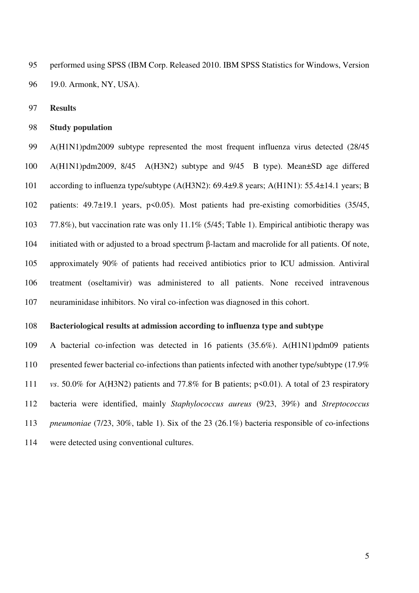95 performed using SPSS (IBM Corp. Released 2010. IBM SPSS Statistics for Windows, Version 96 19.0. Armonk, NY, USA).

97 **Results** 

98 **Study population** 

99 A(H1N1)pdm2009 subtype represented the most frequent influenza virus detected (28/45 100 A(H1N1)pdm2009, 8/45 A(H3N2) subtype and 9/45 B type). Mean±SD age differed 101 according to influenza type/subtype (A(H3N2): 69.4±9.8 years; A(H1N1): 55.4±14.1 years; B 102 patients: 49.7±19.1 years, p<0.05). Most patients had pre-existing comorbidities (35/45, 103 77.8%), but vaccination rate was only 11.1% (5/45; Table 1). Empirical antibiotic therapy was 104 initiated with or adjusted to a broad spectrum β-lactam and macrolide for all patients. Of note, 105 approximately 90% of patients had received antibiotics prior to ICU admission. Antiviral 106 treatment (oseltamivir) was administered to all patients. None received intravenous 107 neuraminidase inhibitors. No viral co-infection was diagnosed in this cohort.

#### 108 **Bacteriological results at admission according to influenza type and subtype**

109 A bacterial co-infection was detected in 16 patients (35.6%). A(H1N1)pdm09 patients 110 presented fewer bacterial co-infections than patients infected with another type/subtype (17.9%) 111 *vs*. 50.0% for A(H3N2) patients and 77.8% for B patients; p<0.01). A total of 23 respiratory 112 bacteria were identified, mainly *Staphylococcus aureus* (9/23, 39%) and *Streptococcus*  113 *pneumoniae* (7/23, 30%, table 1). Six of the 23 (26.1%) bacteria responsible of co-infections 114 were detected using conventional cultures.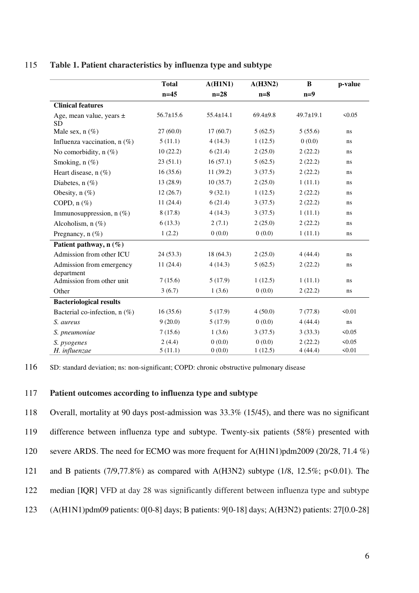# 115 **Table 1. Patient characteristics by influenza type and subtype**

|                                           | <b>Total</b>      | A(H1N1)          | A(H3N2)           | $\bf{B}$           | p-value          |
|-------------------------------------------|-------------------|------------------|-------------------|--------------------|------------------|
|                                           | $n=45$            | $n=28$           | $n=8$             | $n=9$              |                  |
| <b>Clinical features</b>                  |                   |                  |                   |                    |                  |
| Age, mean value, years $\pm$<br><b>SD</b> | $56.7 \pm 15.6$   | $55.4 \pm 14.1$  | $69.4 + 9.8$      | 49.7±19.1          | < 0.05           |
| Male sex, $n$ (%)                         | 27(60.0)          | 17(60.7)         | 5(62.5)           | 5(55.6)            | ns               |
| Influenza vaccination, $n$ (%)            | 5(11.1)           | 4(14.3)          | 1(12.5)           | 0(0.0)             | ns               |
| No comorbidity, $n(\%)$                   | 10(22.2)          | 6(21.4)          | 2(25.0)           | 2(22.2)            | ns               |
| Smoking, $n$ (%)                          | 23(51.1)          | 16(57.1)         | 5(62.5)           | 2(22.2)            | ns               |
| Heart disease, $n$ (%)                    | 16(35.6)          | 11(39.2)         | 3(37.5)           | 2(22.2)            | ns               |
| Diabetes, $n$ (%)                         | 13 (28.9)         | 10(35.7)         | 2(25.0)           | 1(11.1)            | ns               |
| Obesity, $n$ (%)                          | 12(26.7)          | 9(32.1)          | 1(12.5)           | 2(22.2)            | ns               |
| COPD, $n$ $(\%)$                          | 11(24.4)          | 6(21.4)          | 3(37.5)           | 2(22.2)            | ns               |
| Immunosuppression, $n$ (%)                | 8(17.8)           | 4(14.3)          | 3(37.5)           | 1(11.1)            | ns               |
| Alcoholism, $n$ (%)                       | 6(13.3)           | 2(7.1)           | 2(25.0)           | 2(22.2)            | ns               |
| Pregnancy, $n$ (%)                        | 1(2.2)            | 0(0.0)           | 0(0.0)            | 1(11.1)            | ns               |
| Patient pathway, $n(\%)$                  |                   |                  |                   |                    |                  |
| Admission from other ICU                  | 24(53.3)          | 18(64.3)         | 2(25.0)           | 4(44.4)            | ns               |
| Admission from emergency<br>department    | 11(24.4)          | 4(14.3)          | 5(62.5)           | 2(22.2)            | ns               |
| Admission from other unit                 | 7(15.6)           | 5(17.9)          | 1(12.5)           | 1(11.1)            | ns               |
| Other                                     | 3(6.7)            | 1(3.6)           | 0(0.0)            | 2(22.2)            | ns               |
| <b>Bacteriological results</b>            |                   |                  |                   |                    |                  |
| Bacterial co-infection, $n$ (%)           | 16(35.6)          | 5(17.9)          | 4(50.0)           | 7(77.8)            | 50.01            |
| S. aureus                                 | 9(20.0)           | 5(17.9)          | 0(0.0)            | 4(44.4)            | ns               |
| S. pneumoniae                             | 7(15.6)           | 1(3.6)           | 3(37.5)           | 3(33.3)            | < 0.05           |
| S. pyogenes<br>H. influenzae              | 2(4.4)<br>5(11.1) | 0(0.0)<br>0(0.0) | 0(0.0)<br>1(12.5) | 2(22.2)<br>4(44.4) | < 0.05<br>< 0.01 |

116 SD: standard deviation; ns: non-significant; COPD: chronic obstructive pulmonary disease

## 117 **Patient outcomes according to influenza type and subtype**

118 Overall, mortality at 90 days post-admission was 33.3% (15/45), and there was no significant 119 difference between influenza type and subtype. Twenty-six patients (58%) presented with 120 severe ARDS. The need for ECMO was more frequent for A(H1N1)pdm2009 (20/28, 71.4 %) 121 and B patients (7/9,77.8%) as compared with A(H3N2) subtype (1/8, 12.5%; p<0.01). The 122 median [IQR] VFD at day 28 was significantly different between influenza type and subtype 123 (A(H1N1)pdm09 patients: 0[0-8] days; B patients: 9[0-18] days; A(H3N2) patients: 27[0.0-28]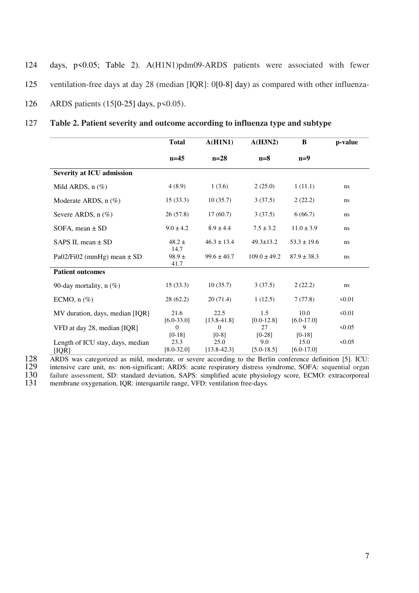- 124 days, p<0.05; Table 2). A(H1N1)pdm09-ARDS patients were associated with fewer
- 125 ventilation-free days at day 28 (median [IQR]: 0[0-8] day) as compared with other influenza-
- 126 ARDS patients (15[0-25] days, p<0.05).

| 127 | Table 2. Patient severity and outcome according to influenza type and subtype |  |  |
|-----|-------------------------------------------------------------------------------|--|--|
|     |                                                                               |  |  |

|                                           | <b>Total</b>               | A(H1N1)                 | A(H3N2)               | B                      | p-value |
|-------------------------------------------|----------------------------|-------------------------|-----------------------|------------------------|---------|
|                                           | $n=45$                     | $n=28$                  | $n=8$                 | $n=9$                  |         |
| <b>Severity at ICU admission</b>          |                            |                         |                       |                        |         |
| Mild ARDS, $n$ $(\%)$                     | 4(8.9)                     | 1(3.6)                  | 2(25.0)               | 1(11.1)                | ns      |
| Moderate ARDS, n (%)                      | 15(33.3)                   | 10(35.7)                | 3(37.5)               | 2(22.2)                | ns      |
| Severe ARDS, $n$ (%)                      | 26(57.8)                   | 17(60.7)                | 3(37.5)               | 6(66.7)                | ns      |
| SOFA, mean $\pm$ SD                       | $9.0 \pm 4.2$              | $8.9 \pm 4.4$           | $7.5 \pm 3.2$         | $11.0 \pm 3.9$         | ns      |
| SAPS II, mean $\pm$ SD                    | $48.2 \pm$                 | $46.3 \pm 13.4$         | $49.3 \pm 13.2$       | $53.3 \pm 19.6$        | ns      |
| Pa02/Fi02 (mmHg) mean $\pm$ SD            | 14.7<br>$98.9 \pm$<br>41.7 | $99.6 \pm 40.7$         | $109.0 \pm 49.2$      | $87.9 \pm 38.3$        | ns      |
| <b>Patient outcomes</b>                   |                            |                         |                       |                        |         |
| 90-day mortality, $n$ (%)                 | 15(33.3)                   | 10(35.7)                | 3(37.5)               | 2(22.2)                | ns      |
| ECMO, $n$ $(\%)$                          | 28(62.2)                   | 20(71.4)                | 1(12.5)               | 7(77.8)                | 50.01   |
| MV duration, days, median [IQR]           | 21.6<br>$[6.0 - 33.0]$     | 22.5<br>$[13.8 - 41.8]$ | 1.5<br>$[0.0 - 12.8]$ | 10.0<br>$[6.0 - 17.0]$ | 50.01   |
| VFD at day 28, median [IQR]               | $\Omega$<br>$[0-18]$       | $\Omega$<br>$[0-8]$     | 27<br>$[0-28]$        | 9<br>$[0-18]$          | 50.05   |
| Length of ICU stay, days, median<br>[IQR] | 23.3<br>$[8.0 - 32.0]$     | 25.0<br>$[13.8 - 42.3]$ | 9.0<br>$[5.0 - 18.5]$ | 15.0<br>$[6.0-17.0]$   | 50.05   |

128 ARDS was categorized as mild, moderate, or severe according to the Berlin conference definition [5]. ICU:

128 INDS was categorized as mild, moderate, or severe according to the Berlin conference definition [5]. ICU:<br>
129 intensive care unit, ns: non-significant; ARDS: acute respiratory distress syndrome, SOFA: sequential organ

130 failure assessment, SD: standard deviation, SAPS: simplified acute physiology score, ECMO: extracorporeal<br>131 membrane oxygenation, IQR: interquartile range, VFD: ventilation free-days.

membrane oxygenation, IQR: interquartile range, VFD: ventilation free-days.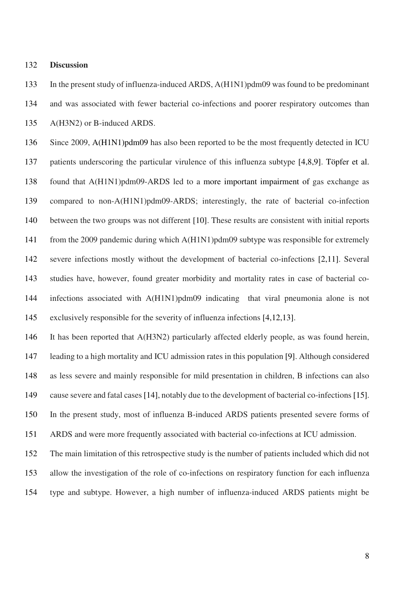#### 132 **Discussion**

133 In the present study of influenza-induced ARDS, A(H1N1)pdm09 was found to be predominant 134 and was associated with fewer bacterial co-infections and poorer respiratory outcomes than 135 A(H3N2) or B-induced ARDS.

136 Since 2009, A(H1N1)pdm09 has also been reported to be the most frequently detected in ICU 137 patients underscoring the particular virulence of this influenza subtype [4,8,9]. Töpfer et al. 138 found that A(H1N1)pdm09-ARDS led to a more important impairment of gas exchange as 139 compared to non-A(H1N1)pdm09-ARDS; interestingly, the rate of bacterial co-infection 140 between the two groups was not different [10]. These results are consistent with initial reports 141 from the 2009 pandemic during which A(H1N1)pdm09 subtype was responsible for extremely 142 severe infections mostly without the development of bacterial co-infections [2,11]. Several 143 studies have, however, found greater morbidity and mortality rates in case of bacterial co-144 infections associated with A(H1N1)pdm09 indicating that viral pneumonia alone is not 145 exclusively responsible for the severity of influenza infections [4,12,13].

146 It has been reported that A(H3N2) particularly affected elderly people, as was found herein, 147 leading to a high mortality and ICU admission rates in this population [9]. Although considered 148 as less severe and mainly responsible for mild presentation in children, B infections can also 149 cause severe and fatal cases [14], notably due to the development of bacterial co-infections [15]. 150 In the present study, most of influenza B-induced ARDS patients presented severe forms of 151 ARDS and were more frequently associated with bacterial co-infections at ICU admission.

152 The main limitation of this retrospective study is the number of patients included which did not 153 allow the investigation of the role of co-infections on respiratory function for each influenza 154 type and subtype. However, a high number of influenza-induced ARDS patients might be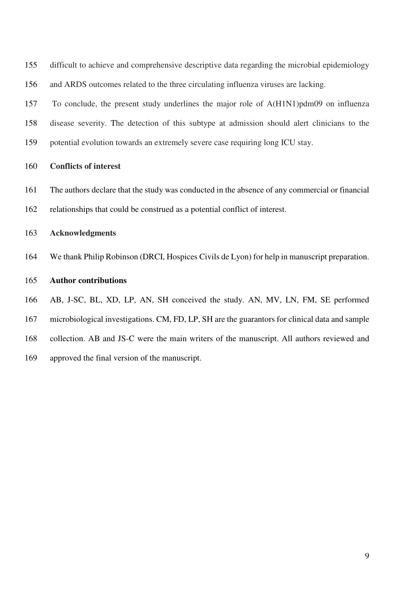| 155 | difficult to achieve and comprehensive descriptive data regarding the microbial epidemiology |
|-----|----------------------------------------------------------------------------------------------|
| 156 | and ARDS outcomes related to the three circulating influenza viruses are lacking.            |

157 To conclude, the present study underlines the major role of A(H1N1)pdm09 on influenza 158 disease severity. The detection of this subtype at admission should alert clinicians to the 159 potential evolution towards an extremely severe case requiring long ICU stay.

# 160 **Conflicts of interest**

161 The authors declare that the study was conducted in the absence of any commercial or financial 162 relationships that could be construed as a potential conflict of interest.

#### 163 **Acknowledgments**

164 We thank Philip Robinson (DRCI, Hospices Civils de Lyon) for help in manuscript preparation.

#### 165 **Author contributions**

166 AB, J-SC, BL, XD, LP, AN, SH conceived the study. AN, MV, LN, FM, SE performed

- 167 microbiological investigations. CM, FD, LP, SH are the guarantors for clinical data and sample
- 168 collection. AB and JS-C were the main writers of the manuscript. All authors reviewed and
- 169 approved the final version of the manuscript.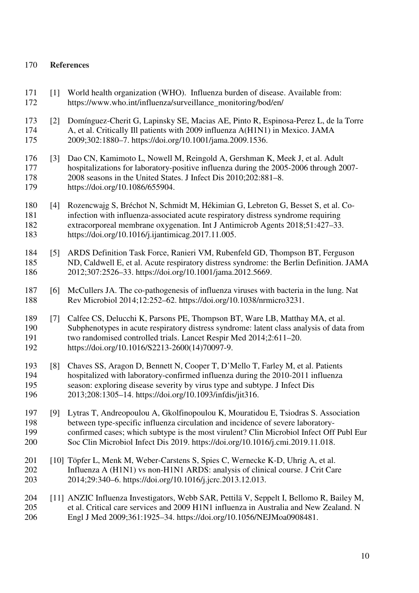# 170 **References**

- 171 [1] World health organization (WHO). Influenza burden of disease. Available from: 172 https://www.who.int/influenza/surveillance\_monitoring/bod/en/
- 173 [2] Domínguez-Cherit G, Lapinsky SE, Macias AE, Pinto R, Espinosa-Perez L, de la Torre 174 A, et al. Critically Ill patients with 2009 influenza A(H1N1) in Mexico. JAMA 175 2009;302:1880–7. https://doi.org/10.1001/jama.2009.1536.
- 176 [3] Dao CN, Kamimoto L, Nowell M, Reingold A, Gershman K, Meek J, et al. Adult 177 hospitalizations for laboratory-positive influenza during the 2005-2006 through 2007- 178 2008 seasons in the United States. J Infect Dis 2010;202:881–8. 179 https://doi.org/10.1086/655904.
- 180 [4] Rozencwajg S, Bréchot N, Schmidt M, Hékimian G, Lebreton G, Besset S, et al. Co-181 infection with influenza-associated acute respiratory distress syndrome requiring 182 extracorporeal membrane oxygenation. Int J Antimicrob Agents 2018;51:427–33. 183 https://doi.org/10.1016/j.ijantimicag.2017.11.005.
- 184 [5] ARDS Definition Task Force, Ranieri VM, Rubenfeld GD, Thompson BT, Ferguson 185 ND, Caldwell E, et al. Acute respiratory distress syndrome: the Berlin Definition. JAMA 186 2012;307:2526–33. https://doi.org/10.1001/jama.2012.5669.
- 187 [6] McCullers JA. The co-pathogenesis of influenza viruses with bacteria in the lung. Nat 188 Rev Microbiol 2014;12:252–62. https://doi.org/10.1038/nrmicro3231.
- 189 [7] Calfee CS, Delucchi K, Parsons PE, Thompson BT, Ware LB, Matthay MA, et al. 190 Subphenotypes in acute respiratory distress syndrome: latent class analysis of data from 191 two randomised controlled trials. Lancet Respir Med 2014;2:611–20. 192 https://doi.org/10.1016/S2213-2600(14)70097-9.
- 193 [8] Chaves SS, Aragon D, Bennett N, Cooper T, D'Mello T, Farley M, et al. Patients hospitalized with laboratory-confirmed influenza during the 2010-2011 influenza 195 season: exploring disease severity by virus type and subtype. J Infect Dis 196 2013;208:1305–14. https://doi.org/10.1093/infdis/jit316.
- 197 [9] Lytras T, Andreopoulou A, Gkolfinopoulou K, Mouratidou E, Tsiodras S. Association 198 between type-specific influenza circulation and incidence of severe laboratory-199 confirmed cases; which subtype is the most virulent? Clin Microbiol Infect Off Publ Eur 200 Soc Clin Microbiol Infect Dis 2019. https://doi.org/10.1016/j.cmi.2019.11.018.
- 201 [10] Töpfer L, Menk M, Weber-Carstens S, Spies C, Wernecke K-D, Uhrig A, et al. 202 Influenza A (H1N1) vs non-H1N1 ARDS: analysis of clinical course. J Crit Care 203 2014;29:340–6. https://doi.org/10.1016/j.jcrc.2013.12.013.

# 204 [11] ANZIC Influenza Investigators, Webb SAR, Pettilä V, Seppelt I, Bellomo R, Bailey M, 205 et al. Critical care services and 2009 H1N1 influenza in Australia and New Zealand. N 206 Engl J Med 2009;361:1925–34. https://doi.org/10.1056/NEJMoa0908481.